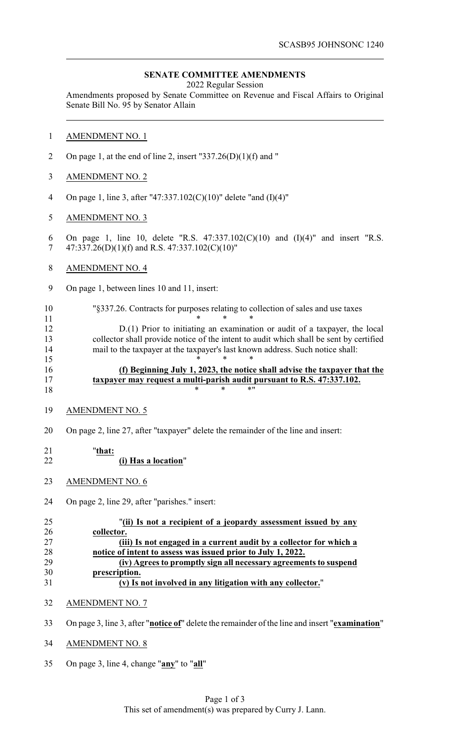# **SENATE COMMITTEE AMENDMENTS**

2022 Regular Session

Amendments proposed by Senate Committee on Revenue and Fiscal Affairs to Original Senate Bill No. 95 by Senator Allain

- AMENDMENT NO. 1
- 2 On page 1, at the end of line 2, insert "337.26(D)(1)(f) and "
- AMENDMENT NO. 2
- On page 1, line 3, after "47:337.102(C)(10)" delete "and (I)(4)"
- AMENDMENT NO. 3
- On page 1, line 10, delete "R.S. 47:337.102(C)(10) and (I)(4)" and insert "R.S. 7 47:337.26(D)(1)(f) and R.S. 47:337.102(C)(10)"
- AMENDMENT NO. 4
- On page 1, between lines 10 and 11, insert:
- "§337.26. Contracts for purposes relating to collection of sales and use taxes

**\*** \* \* \* D.(1) Prior to initiating an examination or audit of a taxpayer, the local collector shall provide notice of the intent to audit which shall be sent by certified mail to the taxpayer at the taxpayer's last known address. Such notice shall: \* \* \*

# **(f) Beginning July 1, 2023, the notice shall advise the taxpayer that the taxpayer may request a multi-parish audit pursuant to R.S. 47:337.102.**  $18 \times * * * * "$

- AMENDMENT NO. 5
- On page 2, line 27, after "taxpayer" delete the remainder of the line and insert:

#### "**that: (i) Has a location**"

- 
- AMENDMENT NO. 6
- On page 2, line 29, after "parishes." insert:

| 25 | "(ii) Is not a recipient of a jeopardy assessment issued by any    |
|----|--------------------------------------------------------------------|
| 26 | collector.                                                         |
| 27 | (iii) Is not engaged in a current audit by a collector for which a |
| 28 | notice of intent to assess was issued prior to July 1, 2022.       |
| 29 | (iv) Agrees to promptly sign all necessary agreements to suspend   |
| 30 | prescription.                                                      |
| 31 | (v) Is not involved in any litigation with any collector."         |

- AMENDMENT NO. 7
- On page 3, line 3, after "**notice of**" delete the remainder of the line and insert "**examination**"
- AMENDMENT NO. 8
- On page 3, line 4, change "**any**" to "**all**"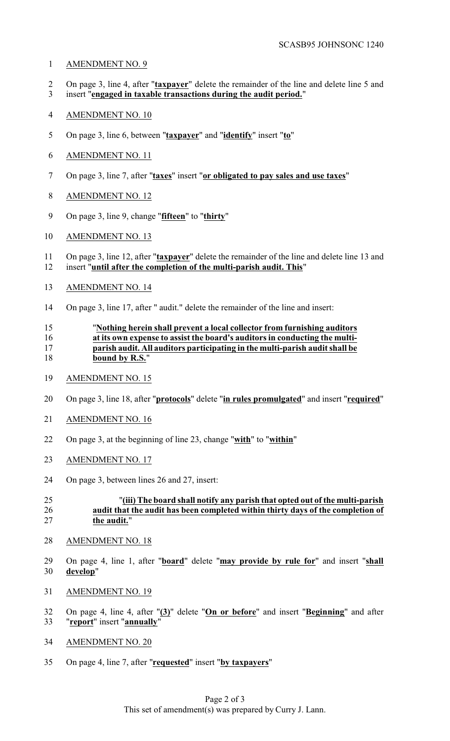## AMENDMENT NO. 9

- On page 3, line 4, after "**taxpayer**" delete the remainder of the line and delete line 5 and
- insert "**engaged in taxable transactions during the audit period.**"
- AMENDMENT NO. 10
- On page 3, line 6, between "**taxpayer**" and "**identify**" insert "**to**"
- AMENDMENT NO. 11
- On page 3, line 7, after "**taxes**" insert "**or obligated to pay sales and use taxes**"
- AMENDMENT NO. 12
- On page 3, line 9, change "**fifteen**" to "**thirty**"
- AMENDMENT NO. 13
- On page 3, line 12, after "**taxpayer**" delete the remainder of the line and delete line 13 and insert "**until after the completion of the multi-parish audit. This**"
- AMENDMENT NO. 14
- On page 3, line 17, after " audit." delete the remainder of the line and insert:

### "**Nothing herein shall prevent a local collector from furnishing auditors at its own expense to assist the board's auditors in conducting the multi- parish audit. All auditors participating in the multi-parish audit shall be bound by R.S.**"

- AMENDMENT NO. 15
- On page 3, line 18, after "**protocols**" delete "**in rules promulgated**" and insert "**required**"
- AMENDMENT NO. 16
- On page 3, at the beginning of line 23, change "**with**" to "**within**"
- AMENDMENT NO. 17
- On page 3, between lines 26 and 27, insert:

# "**(iii) The board shall notify any parish that opted out of the multi-parish audit that the audit has been completed within thirty days of the completion of the audit.**"

- AMENDMENT NO. 18
- On page 4, line 1, after "**board**" delete "**may provide by rule for**" and insert "**shall develop**"
- AMENDMENT NO. 19
- On page 4, line 4, after "**(3)**" delete "**On or before**" and insert "**Beginning**" and after "**report**" insert "**annually**"
- AMENDMENT NO. 20
- On page 4, line 7, after "**requested**" insert "**by taxpayers**"